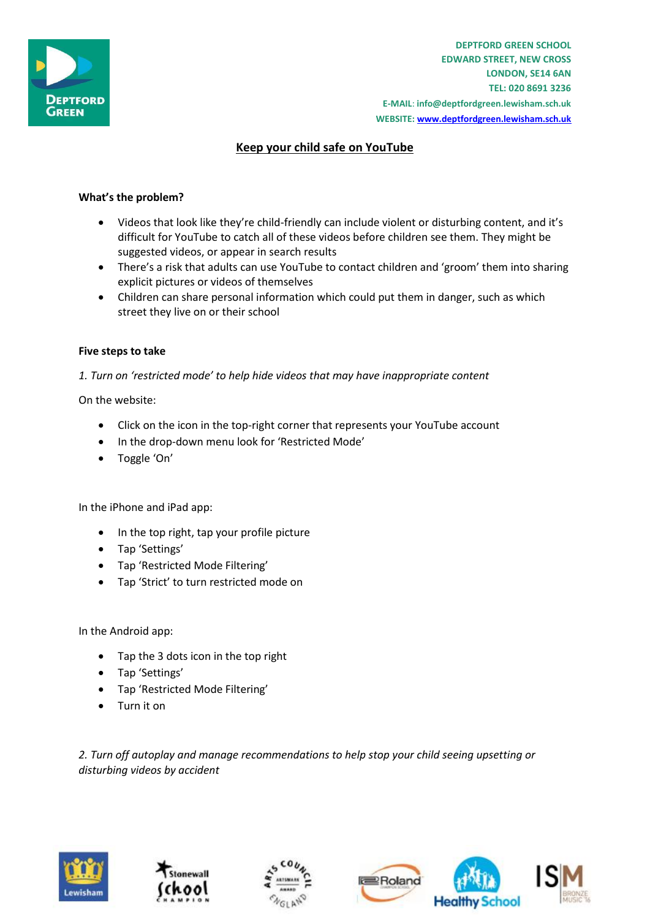

**DEPTFORD GREEN SCHOOL EDWARD STREET, NEW CROSS LONDON, SE14 6AN TEL: 020 8691 3236 E-MAIL**: **info@deptfordgreen.lewisham.sch.uk WEBSITE: www.deptfordgreen.lewisham.sch.uk**

# **Keep your child safe on YouTube**

## **What's the problem?**

- Videos that look like they're child-friendly can include violent or disturbing content, and it's difficult for YouTube to catch all of these videos before children see them. They might be suggested videos, or appear in search results
- There's a risk that adults can use YouTube to contact children and 'groom' them into sharing explicit pictures or videos of themselves
- Children can share personal information which could put them in danger, such as which street they live on or their school

### **Five steps to take**

*1. Turn on 'restricted mode' to help hide videos that may have inappropriate content*

On the website:

- Click on the icon in the top-right corner that represents your YouTube account
- In the drop-down menu look for 'Restricted Mode'
- Toggle 'On'

In the iPhone and iPad app:

- In the top right, tap your profile picture
- Tap 'Settings'
- Tap 'Restricted Mode Filtering'
- Tap 'Strict' to turn restricted mode on

In the Android app:

- Tap the 3 dots icon in the top right
- Tap 'Settings'
- Tap 'Restricted Mode Filtering'
- Turn it on

*2. Turn off autoplay and manage recommendations to help stop your child seeing upsetting or disturbing videos by accident*